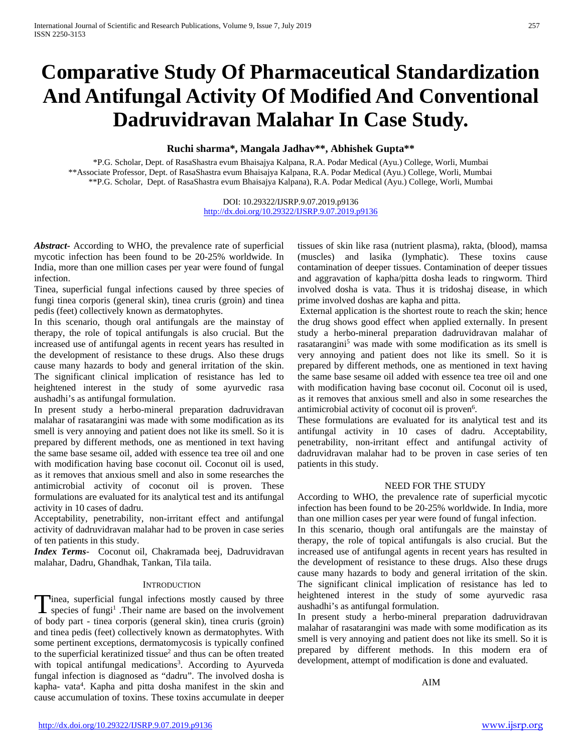# **Comparative Study Of Pharmaceutical Standardization And Antifungal Activity Of Modified And Conventional Dadruvidravan Malahar In Case Study.**

# **Ruchi sharma\*, Mangala Jadhav\*\*, Abhishek Gupta\*\***

\*P.G. Scholar, Dept. of RasaShastra evum Bhaisajya Kalpana, R.A. Podar Medical (Ayu.) College, Worli, Mumbai \*\*Associate Professor, Dept. of RasaShastra evum Bhaisajya Kalpana, R.A. Podar Medical (Ayu.) College, Worli, Mumbai \*\*P.G. Scholar, Dept. of RasaShastra evum Bhaisajya Kalpana), R.A. Podar Medical (Ayu.) College, Worli, Mumbai

> DOI: 10.29322/IJSRP.9.07.2019.p9136 <http://dx.doi.org/10.29322/IJSRP.9.07.2019.p9136>

*Abstract***-** According to WHO, the prevalence rate of superficial mycotic infection has been found to be 20-25% worldwide. In India, more than one million cases per year were found of fungal infection.

Tinea, superficial fungal infections caused by three species of fungi tinea corporis (general skin), tinea cruris (groin) and tinea pedis (feet) collectively known as dermatophytes.

In this scenario, though oral antifungals are the mainstay of therapy, the role of topical antifungals is also crucial. But the increased use of antifungal agents in recent years has resulted in the development of resistance to these drugs. Also these drugs cause many hazards to body and general irritation of the skin. The significant clinical implication of resistance has led to heightened interest in the study of some ayurvedic rasa aushadhi's as antifungal formulation.

In present study a herbo-mineral preparation dadruvidravan malahar of rasatarangini was made with some modification as its smell is very annoying and patient does not like its smell. So it is prepared by different methods, one as mentioned in text having the same base sesame oil, added with essence tea tree oil and one with modification having base coconut oil. Coconut oil is used, as it removes that anxious smell and also in some researches the antimicrobial activity of coconut oil is proven. These formulations are evaluated for its analytical test and its antifungal activity in 10 cases of dadru.

Acceptability, penetrability, non-irritant effect and antifungal activity of dadruvidravan malahar had to be proven in case series of ten patients in this study.

*Index Terms*- Coconut oil, Chakramada beej, Dadruvidravan malahar, Dadru, Ghandhak, Tankan, Tila taila.

#### **INTRODUCTION**

Tinea, superficial fungal infections mostly caused by three species of fungi<sup>1</sup>. Their name are based on the involvement  $\blacksquare$  species of fungi<sup>1</sup>. Their name are based on the involvement of body part - tinea corporis (general skin), tinea cruris (groin) and tinea pedis (feet) collectively known as dermatophytes. With some pertinent exceptions, dermatomycosis is typically confined to the superficial keratinized tissue<sup>2</sup> and thus can be often treated with topical antifungal medications<sup>3</sup>. According to Ayurveda fungal infection is diagnosed as "dadru". The involved dosha is kapha- vata4 . Kapha and pitta dosha manifest in the skin and cause accumulation of toxins. These toxins accumulate in deeper

tissues of skin like rasa (nutrient plasma), rakta, (blood), mamsa (muscles) and lasika (lymphatic). These toxins cause contamination of deeper tissues. Contamination of deeper tissues and aggravation of kapha/pitta dosha leads to ringworm. Third involved dosha is vata. Thus it is tridoshaj disease, in which prime involved doshas are kapha and pitta.

External application is the shortest route to reach the skin; hence the drug shows good effect when applied externally. In present study a herbo-mineral preparation dadruvidravan malahar of rasatarangini<sup>5</sup> was made with some modification as its smell is very annoying and patient does not like its smell. So it is prepared by different methods, one as mentioned in text having the same base sesame oil added with essence tea tree oil and one with modification having base coconut oil. Coconut oil is used, as it removes that anxious smell and also in some researches the antimicrobial activity of coconut oil is proven<sup>6</sup>.

These formulations are evaluated for its analytical test and its antifungal activity in 10 cases of dadru. Acceptability, penetrability, non-irritant effect and antifungal activity of dadruvidravan malahar had to be proven in case series of ten patients in this study.

#### NEED FOR THE STUDY

According to WHO, the prevalence rate of superficial mycotic infection has been found to be 20-25% worldwide. In India, more than one million cases per year were found of fungal infection.

In this scenario, though oral antifungals are the mainstay of therapy, the role of topical antifungals is also crucial. But the increased use of antifungal agents in recent years has resulted in the development of resistance to these drugs. Also these drugs cause many hazards to body and general irritation of the skin. The significant clinical implication of resistance has led to heightened interest in the study of some ayurvedic rasa aushadhi's as antifungal formulation.

In present study a herbo-mineral preparation dadruvidravan malahar of rasatarangini was made with some modification as its smell is very annoying and patient does not like its smell. So it is prepared by different methods. In this modern era of development, attempt of modification is done and evaluated.

# AIM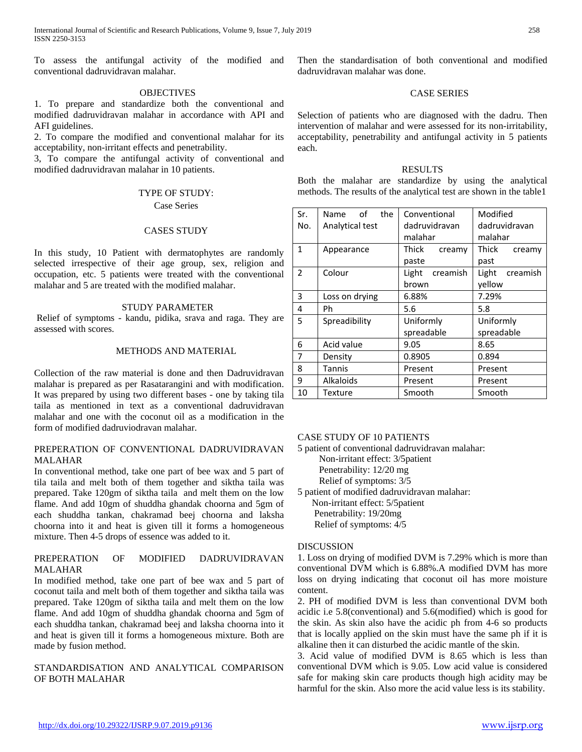To assess the antifungal activity of the modified and conventional dadruvidravan malahar.

#### **OBJECTIVES**

1. To prepare and standardize both the conventional and modified dadruvidravan malahar in accordance with API and AFI guidelines.

2. To compare the modified and conventional malahar for its acceptability, non-irritant effects and penetrability.

3, To compare the antifungal activity of conventional and modified dadruvidravan malahar in 10 patients.

# TYPE OF STUDY:

#### Case Series

#### CASES STUDY

In this study, 10 Patient with dermatophytes are randomly selected irrespective of their age group, sex, religion and occupation, etc. 5 patients were treated with the conventional malahar and 5 are treated with the modified malahar.

# STUDY PARAMETER

Relief of symptoms - kandu, pidika, srava and raga. They are assessed with scores.

#### METHODS AND MATERIAL

Collection of the raw material is done and then Dadruvidravan malahar is prepared as per Rasatarangini and with modification. It was prepared by using two different bases - one by taking tila taila as mentioned in text as a conventional dadruvidravan malahar and one with the coconut oil as a modification in the form of modified dadruviodravan malahar.

#### PREPERATION OF CONVENTIONAL DADRUVIDRAVAN MALAHAR

In conventional method, take one part of bee wax and 5 part of tila taila and melt both of them together and siktha taila was prepared. Take 120gm of siktha taila and melt them on the low flame. And add 10gm of shuddha ghandak choorna and 5gm of each shuddha tankan, chakramad beej choorna and laksha choorna into it and heat is given till it forms a homogeneous mixture. Then 4-5 drops of essence was added to it.

## PREPERATION OF MODIFIED DADRUVIDRAVAN MALAHAR

In modified method, take one part of bee wax and 5 part of coconut taila and melt both of them together and siktha taila was prepared. Take 120gm of siktha taila and melt them on the low flame. And add 10gm of shuddha ghandak choorna and 5gm of each shuddha tankan, chakramad beej and laksha choorna into it and heat is given till it forms a homogeneous mixture. Both are made by fusion method.

# STANDARDISATION AND ANALYTICAL COMPARISON OF BOTH MALAHAR

Then the standardisation of both conventional and modified dadruvidravan malahar was done.

# CASE SERIES

Selection of patients who are diagnosed with the dadru. Then intervention of malahar and were assessed for its non-irritability, acceptability, penetrability and antifungal activity in 5 patients each.

#### RESULTS

Both the malahar are standardize by using the analytical methods. The results of the analytical test are shown in the table1

| Sr.          | the<br>of<br>Name | Conventional      | Modified          |
|--------------|-------------------|-------------------|-------------------|
| No.          | Analytical test   | dadruvidravan     | dadruvidravan     |
|              |                   | malahar           | malahar           |
| $\mathbf{1}$ | Appearance        | Thick<br>creamy   | Thick<br>creamy   |
|              |                   | paste             | past              |
| 2            | Colour            | Light<br>creamish | Light<br>creamish |
|              |                   | brown             | yellow            |
| 3            | Loss on drying    | 6.88%             | 7.29%             |
| 4            | Ph                | 5.6               | 5.8               |
| 5            | Spreadibility     | Uniformly         | Uniformly         |
|              |                   | spreadable        | spreadable        |
| 6            | Acid value        | 9.05              | 8.65              |
| 7            | Density           | 0.8905            | 0.894             |
| 8            | Tannis            | Present           | Present           |
| 9            | <b>Alkaloids</b>  | Present           | Present           |
| 10           | Texture           | Smooth            | Smooth            |

#### CASE STUDY OF 10 PATIENTS

5 patient of conventional dadruvidravan malahar:

Non-irritant effect: 3/5patient

Penetrability: 12/20 mg

Relief of symptoms: 3/5

5 patient of modified dadruvidravan malahar: Non-irritant effect: 5/5patient

Penetrability: 19/20mg

Relief of symptoms: 4/5

#### DISCUSSION

1. Loss on drying of modified DVM is 7.29% which is more than conventional DVM which is 6.88%.A modified DVM has more loss on drying indicating that coconut oil has more moisture content.

2. PH of modified DVM is less than conventional DVM both acidic i.e 5.8(conventional) and 5.6(modified) which is good for the skin. As skin also have the acidic ph from 4-6 so products that is locally applied on the skin must have the same ph if it is alkaline then it can disturbed the acidic mantle of the skin.

3. Acid value of modified DVM is 8.65 which is less than conventional DVM which is 9.05. Low acid value is considered safe for making skin care products though high acidity may be harmful for the skin. Also more the acid value less is its stability.